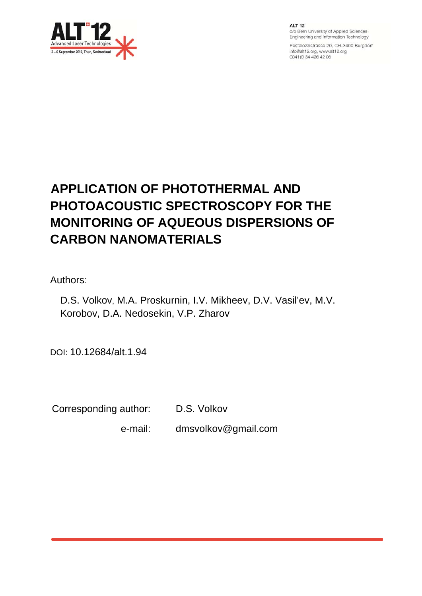

**ALT 12** c/o Bern University of Applied Sciences Engineering and Information Technology

Pestalozzistrasse 20, CH-3400 Burgdorf info@alt12.org, www.alt12.org 0041 (0) 34 426 42 06

# **APPLICATION OF PHOTOTHERMAL AND PHOTOACOUSTIC SPECTROSCOPY FOR THE MONITORING OF AQUEOUS DISPERSIONS OF CARBON NANOMATERIALS**

Authors:

D.S. Volkov, M.A. Proskurnin, I.V. Mikheev, D.V. Vasil'ev, M.V. Korobov, D.A. Nedosekin, V.P. Zharov

DOI: 10.12684/alt.1.94

Corresponding author: D.S. Volkov

e-mail: dmsvolkov@gmail.com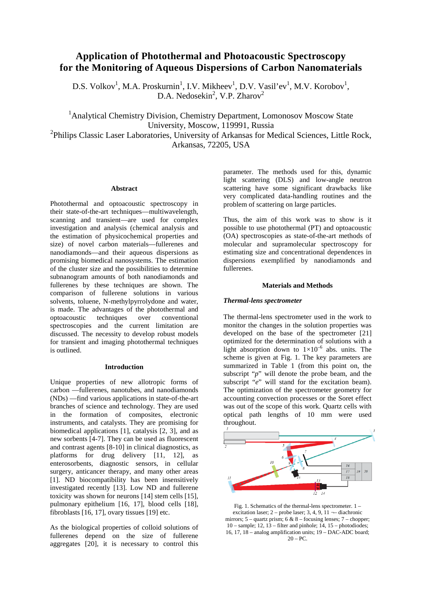## **Application of Photothermal and Photoacoustic Spectroscopy for the Monitoring of Aqueous Dispersions of Carbon Nanomaterials**

D.S. Volkov<sup>1</sup>, M.A. Proskurnin<sup>1</sup>, I.V. Mikheev<sup>1</sup>, D.V. Vasil'ev<sup>1</sup>, M.V. Korobov<sup>1</sup>, D.A. Nedosekin<sup>2</sup>, V.P. Zharov<sup>2</sup>

<sup>1</sup> Analytical Chemistry Division, Chemistry Department, Lomonosov Moscow State University, Moscow, 119991, Russia <sup>2</sup>Philips Classic Laser Laboratories, University of Arkansas for Medical Sciences, Little Rock, Arkansas, 72205, USA

#### **Abstract**

Photothermal and optoacoustic spectroscopy in their state-of-the-art techniques—multiwavelength, scanning and transient—are used for complex investigation and analysis (chemical analysis and the estimation of physicochemical properties and size) of novel carbon materials—fullerenes and nanodiamonds—and their aqueous dispersions as promising biomedical nanosystems. The estimation of the cluster size and the possibilities to determine subnanogram amounts of both nanodiamonds and fullerenes by these techniques are shown. The comparison of fullerene solutions in various solvents, toluene, N-methylpyrrolydone and water, is made. The advantages of the photothermal and optoacoustic techniques over conventional spectroscopies and the current limitation are discussed. The necessity to develop robust models for transient and imaging photothermal techniques is outlined.

#### **Introduction**

Unique properties of new allotropic forms of carbon —fullerenes, nanotubes, and nanodiamonds (NDs) —find various applications in state-of-the-art branches of science and technology. They are used in the formation of composites, electronic instruments, and catalysts. They are promising for biomedical applications [\[1\]](#page-7-0), catalysis [\[2,](#page-7-1) [3\]](#page-7-2), and as new sorbents [\[4-7\]](#page-7-3). They can be used as fluorescent and contrast agents [\[8-10\]](#page-7-4) in clinical diagnostics, as platforms for drug delivery [\[11,](#page-7-5) [12\]](#page-7-6), as enterosorbents, diagnostic sensors, in cellular surgery, anticancer therapy, and many other areas [\[1\]](#page-7-0). ND biocompatibility has been insensitively investigated recently [\[13\]](#page-7-7). Low ND and fullerene toxicity was shown for neurons [\[14\]](#page-7-8) stem cells [\[15\]](#page-7-9), pulmonary epithelium [\[16,](#page-7-10) [17\]](#page-7-11), blood cells [\[18\]](#page-8-0), fibroblasts [\[16,](#page-7-10) [17\]](#page-7-11), ovary tissues [\[19\]](#page-8-1) etc.

As the biological properties of colloid solutions of fullerenes depend on the size of fullerene aggregates [\[20\]](#page-8-2), it is necessary to control this parameter. The methods used for this, dynamic light scattering (DLS) and low-angle neutron scattering have some significant drawbacks like very complicated data-handling routines and the problem of scattering on large particles.

Thus, the aim of this work was to show is it possible to use photothermal (PT) and optoacoustic (OA) spectroscopies as state-of-the-art methods of molecular and supramolecular spectroscopy for estimating size and concentrational dependences in dispersions exemplified by nanodiamonds and fullerenes.

## **Materials and Methods**

## *Thermal-lens spectrometer*

The thermal-lens spectrometer used in the work to monitor the changes in the solution properties was developed on the base of the spectrometer [\[21\]](#page-8-3) optimized for the determination of solutions with a light absorption down to  $1 \times 10^{-6}$  abs. units. The scheme is given at Fig. 1. The key parameters are summarized in Table 1 (from this point on, the subscript "*p*" will denote the probe beam, and the subscript "*e*" will stand for the excitation beam). The optimization of the spectrometer geometry for accounting convection processes or the Soret effect was out of the scope of this work. Quartz cells with optical path lengths of 10 mm were used throughout.



Fig. 1. Schematics of the thermal-lens spectrometer. 1 – excitation laser; 2 – probe laser; 3, 4, 9,  $11$  – diachronic mirrors;  $5 -$ quartz prism; 6 &  $8 -$  focusing lenses;  $7 -$  chopper; 10 – sample; 12, 13 – filter and pinhole; 14, 15 – photodiodes; 16, 17,  $18$  – analog amplification units;  $19 - DAC$ -ADC board;  $20 - PC$ .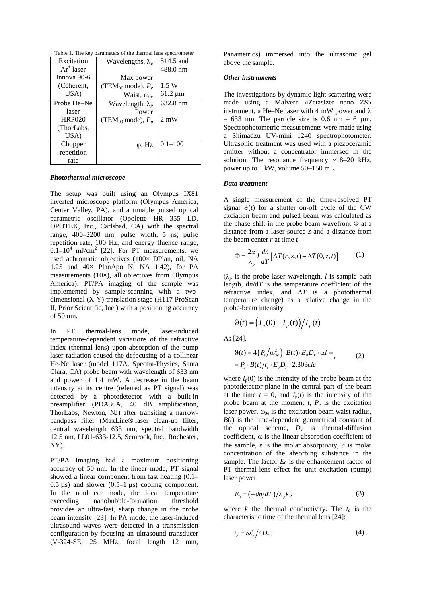Table 1. The key parameters of the thermal lens spectrometer

| Excitation    | Wavelengths, $\lambda_e$        | 514.5 and      |
|---------------|---------------------------------|----------------|
| $Ar^+$ laser  |                                 | 488.0 nm       |
| Innova 90-6   | Max power                       |                |
| (Coherent,    | (TEM <sub>00</sub> mode), $P_e$ | 1.5 W          |
| USA)          | Waist, $\omega_{0e}$            | $61.2 \mu m$   |
| Probe He–Ne   | Wavelength, $\lambda_p$         | 632.8 nm       |
| laser         | Power                           |                |
| <b>HRP020</b> | (TEM <sub>00</sub> mode), $P_p$ | $2 \text{ mW}$ |
| (ThorLabs,    |                                 |                |
| USA)          |                                 |                |
| Chopper       | $\varphi$ , Hz                  | $0.1 - 100$    |
| repetition    |                                 |                |
| rate          |                                 |                |

#### *Photothermal microscope*

The setup was built using an Olympus IX81 inverted microscope platform (Olympus America, Center Valley, PA), and a tunable pulsed optical parametric oscillator (Opolette HR 355 LD, OPOTEK, Inc., Carlsbad, CA) with the spectral range, 400–2200 nm; pulse width, 5 ns; pulse repetition rate, 100 Hz; and energy fluence range,  $0.1-10^4$  mJ/cm<sup>2</sup> [\[22\]](#page-8-4). For PT measurements, we used achromatic objectives (100× DPlan, oil, NA 1.25 and  $40\times$  PlanApo N, NA 1.42), for PA measurements  $(10\times)$ , all objectives from Olympus America). PT/PA imaging of the sample was implemented by sample-scanning with a twodimensional (X-Y) translation stage (H117 ProScan II, Prior Scientific, Inc.) with a positioning accuracy of 50 nm.

In PT thermal-lens mode, laser-induced temperature-dependent variations of the refractive index (thermal lens) upon absorption of the pump laser radiation caused the defocusing of a collinear He-Ne laser (model 117A, Spectra-Physics, Santa Clara, CA) probe beam with wavelength of 633 nm and power of 1.4 mW. A decrease in the beam intensity at its centre (referred as PT signal) was detected by a photodetector with a built-in preamplifier (PDA36A, 40 dB amplification, ThorLabs, Newton, NJ) after transiting a narrowbandpass filter (MaxLine® laser clean-up filter, central wavelength 633 nm, spectral bandwidth 12.5 nm, LL01-633-12.5, Semrock, Inc., Rochester, NY).

PT/PA imaging had a maximum positioning accuracy of 50 nm. In the linear mode, PT signal showed a linear component from fast heating (0.1–  $0.5 \,\mathrm{\upmu s}$ ) and slower  $(0.5-1 \,\mathrm{\upmu s})$  cooling component. In the nonlinear mode, the local temperature<br>exceeding nanobubble-formation threshold nanobubble-formation threshold provides an ultra-fast, sharp change in the probe beam intensity [\[23\]](#page-8-5). In PA mode, the laser-induced ultrasound waves were detected in a transmission configuration by focusing an ultrasound transducer (V-324-SE, 25 MHz; focal length 12 mm, Panametrics) immersed into the ultrasonic gel above the sample.

#### *Other instruments*

The investigations by dynamic light scattering were made using a Malvern «Zetasizer nano ZS» instrument, a He–Ne laser with 4 mW power and  $\lambda$  $= 633$  nm. The particle size is 0.6 nm – 6 µm. Spectrophotometric measurements were made using a Shimadzu UV-mini 1240 spectrophotometer. Ultrasonic treatment was used with a piezoceramic emitter without a concentrator immersed in the solution. The resonance frequency  $\sim$ 18–20 kHz, power up to 1 kW, volume 50–150 mL.

#### *Data treatment*

A single measurement of the time-resolved PT signal  $\vartheta(t)$  for a shutter on-off cycle of the CW exciation beam and pulsed beam was calculated as the phase shift in the probe beam wavefront Φ at a distance from a laser source *z* and a distance from the beam center *r* at time *t*

$$
\Phi = \frac{2\pi}{\lambda_p} l \frac{dn}{dT} \Big[ \Delta T(r, z, t) - \Delta T(0, z, t) \Big]
$$
 (1)

 $(\lambda_n)$  is the probe laser wavelength, *l* is sample path length, d*n*/d*T* is the temperature coefficient of the refractive index, and ∆*T* is a photothermal temperature change) as a relative change in the probe-beam intensity

$$
\vartheta(t) = \left(I_p(0) - I_p(t)\right) / I_p(t)
$$

As [\[24\]](#page-8-6).

$$
\begin{aligned} \mathcal{G}(t) &= 4\Big(P_e\big/\omega_{0e}^2\Big) \cdot B(t) \cdot E_0 D_T \cdot \alpha l = \\ &= P_e \cdot B(t) / t_c \cdot E_0 D_T \cdot 2.303 \varepsilon l c \end{aligned} \tag{2}
$$

where  $I_p(0)$  is the intensity of the probe beam at the photodetector plane in the central part of the beam at the time  $t = 0$ , and  $I_p(t)$  is the intensity of the probe beam at the moment  $t$ ,  $P_e$  is the excitation laser power,  $\omega_{0e}$  is the excitation beam waist radius,  $B(t)$  is the time-dependent geometrical constant of the optical scheme,  $D_T$  is thermal-diffusion coefficient,  $\alpha$  is the linear absorption coefficient of the sample, e is the molar absorptivity, *с* is molar concentration of the absorbing substance in the sample. The factor  $E_0$  is the enhancement factor of PT thermal-lens effect for unit excitation (pump) laser power

$$
E_0 = \left(-\frac{dn}{dT}\right)/\lambda_p k \,,\tag{3}
$$

where  $k$  the thermal conductivity. The  $t_c$  is the characteristic time of the thermal lens [\[24\]](#page-8-6):

$$
t_c = \omega_{0e}^2 / 4D_T, \qquad (4)
$$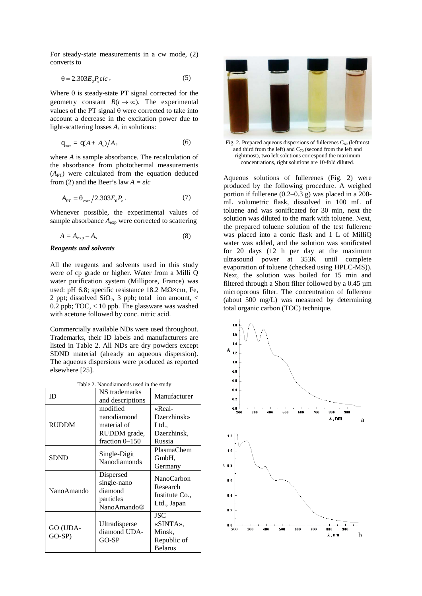For steady-state measurements in a cw mode, (2) converts to

$$
\theta = 2.303 E_0 P_e \varepsilon l c \,, \tag{5}
$$

Where  $\theta$  is steady-state PT signal corrected for the geometry constant  $B(t \to \infty)$ . The experimental values of the PT signal θ were corrected to take into account a decrease in the excitation power due to light-scattering losses  $A_s$  in solutions:

$$
\mathbf{q}_{\text{corr}} = \mathbf{q}(A + A_s)/A,\tag{6}
$$

where *A* is sample absorbance. The recalculation of the absorbance from photothermal measurements  $(A<sub>PT</sub>)$  were calculated from the equation deduced from (2) and the Beer's law  $A = \varepsilon lc$ 

$$
A_{PT} = \theta_{corr} / 2.303 E_0 P_e \,. \tag{7}
$$

Whenever possible, the experimental values of sample absorbance  $A_{\text{exp}}$  were corrected to scattering

$$
A = A_{\exp} - A_s \tag{8}
$$

## *Reagents and solvents*

All the reagents and solvents used in this study were of cp grade or higher. Water from a Milli Q water purification system (Millipore, France) was used: pH 6.8; specific resistance 18.2 M $\Omega$ ×cm, Fe, 2 ppt; dissolved  $SiO<sub>2</sub>$ , 3 ppb; total ion amount,  $\lt$ 0.2 ppb; TOC, < 10 ppb. The glassware was washed with acetone followed by conc. nitric acid.

Commercially available NDs were used throughout. Trademarks, their ID labels and manufacturers are listed in Table 2. All NDs are dry powders except SDND material (already an aqueous dispersion). The aqueous dispersions were produced as reported elsewhere [\[25\]](#page-8-7).

| Table 2. Nanodiamonds used in the study |                                                                 |                                                         |  |
|-----------------------------------------|-----------------------------------------------------------------|---------------------------------------------------------|--|
| ID                                      | NS trademarks                                                   | Manufacturer                                            |  |
|                                         | and descriptions                                                |                                                         |  |
| RUDDM                                   | modified                                                        | «Real-                                                  |  |
|                                         | nanodiamond                                                     | Dzerzhinsk»                                             |  |
|                                         | material of                                                     | Ltd.,                                                   |  |
|                                         | RUDDM grade,                                                    | Dzerzhinsk,                                             |  |
|                                         | fraction 0-150                                                  | Russia                                                  |  |
| <b>SDND</b>                             | Single-Digit<br>Nanodiamonds                                    | PlasmaChem                                              |  |
|                                         |                                                                 | GmbH.                                                   |  |
|                                         |                                                                 | Germany                                                 |  |
| NanoAmando                              | Dispersed<br>single-nano<br>diamond<br>particles<br>NanoAmando® | NanoCarbon<br>Research<br>Institute Co.,<br>Ltd., Japan |  |
| GO (UDA-<br>$GO-SP$                     |                                                                 | <b>JSC</b>                                              |  |
|                                         | Ultradisperse                                                   | «SINTA».                                                |  |
|                                         | diamond UDA-                                                    | Minsk.                                                  |  |
|                                         | $GO-SP$                                                         | Republic of                                             |  |
|                                         |                                                                 | <b>Belarus</b>                                          |  |



Fig. 2. Prepared aqueous dispersions of fullerenes  $C_{60}$  (leftmost and third from the left) and  $C_{70}$  (second from the left and rightmost), two left solutions correspond the maximum concentrations, right solutions are 10-fold diluted.

Aqueous solutions of fullerenes (Fig. 2) were produced by the following procedure. A weighed portion if fullerene (0.2–0.3 g) was placed in a 200 mL volumetric flask, dissolved in 100 mL of toluene and was sonificated for 30 min, next the solution was diluted to the mark with toluene. Next, the prepared toluene solution of the test fullerene was placed into a conic flask and 1 L of MilliQ water was added, and the solution was sonificated for 20 days (12 h per day at the maximum ultrasound power at 353K until complete evaporation of toluene (checked using HPLC-MS)). Next, the solution was boiled for 15 min and filtered through a Shott filter followed by a 0.45 µm microporous filter. The concentration of fullerene (about 500 mg/L) was measured by determining total organic carbon (TOC) technique.

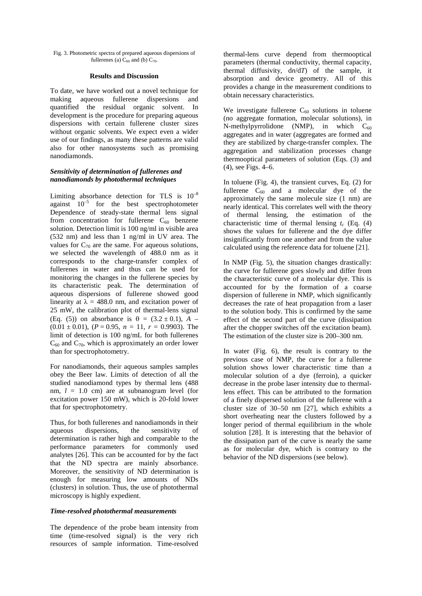#### Fig. 3. Photometric spectra of prepared aqueous dispersions of fullerenes (a)  $C_{60}$  and (b)  $C_{70}$ .

## **Results and Discussion**

To date, we have worked out a novel technique for making aqueous fullerene dispersions and quantified the residual organic solvent. In development is the procedure for preparing aqueous dispersions with certain fullerene cluster sizes without organic solvents. We expect even a wider use of our findings, as many these patterns are valid also for other nanosystems such as promising nanodiamonds.

## *Sensitivity of determination of fullerenes and nanodiamonds by photothermal techniques*

Limiting absorbance detection for TLS is  $10^{-8}$ against  $10^{-5}$  for the best spectrophotometer Dependence of steady-state thermal lens signal from concentration for fullerene  $C_{60}$  benzene solution. Detection limit is 100 ng/ml in visible area (532 nm) and less than 1 ng/ml in UV area. The values for  $C_{70}$  are the same. For aqueous solutions, we selected the wavelength of 488.0 nm as it corresponds to the charge-transfer complex of fullerenes in water and thus can be used for monitoring the changes in the fullerene species by its characteristic peak. The determination of aqueous dispersions of fullerene showed good linearity at  $\lambda = 488.0$  nm, and excitation power of 25 mW, the calibration plot of thermal-lens signal (Eq. (5)) on absorbance is  $\theta = (3.2 \pm 0.1), A (0.01 \pm 0.01)$ ,  $(P = 0.95, n = 11, r = 0.9903)$ . The limit of detection is 100 ng/mL for both fullerenes  $C_{60}$  and  $C_{70}$ , which is approximately an order lower than for spectrophotometry.

For nanodiamonds, their aqueous samples samples obey the Beer law. Limits of detection of all the studied nanodiamond types by thermal lens (488 nm,  $l = 1.0$  cm) are at subnanogram level (for excitation power 150 mW), which is 20-fold lower that for spectrophotometry.

Thus, for both fullerenes and nanodiamonds in their aqueous dispersions, the sensitivity of determination is rather high and comparable to the performance parameters for commonly used analytes [\[26\]](#page-8-8). This can be accounted for by the fact that the ND spectra are mainly absorbance. Moreover, the sensitivity of ND determination is enough for measuring low amounts of NDs (clusters) in solution. Thus, the use of photothermal microscopy is highly expedient.

## *Time-resolved photothermal measurements*

The dependence of the probe beam intensity from time (time-resolved signal) is the very rich resources of sample information. Time-resolved

thermal-lens curve depend from thermooptical parameters (thermal conductivity, thermal capacity, thermal diffusivity, d*n*/d*T*) of the sample, it absorption and device geometry. All of this provides a change in the measurement conditions to obtain necessary characteristics.

We investigate fullerene  $C_{60}$  solutions in toluene (no aggregate formation, molecular solutions), in N-methylpyrrolidone (NMP), in which  $C_{60}$ aggregates and in water (aggregates are formed and they are stabilized by charge-transfer complex. The aggregation and stabilization processes change thermooptical parameters of solution (Eqs. (3) and (4), see Figs. 4–6.

In toluene (Fig. 4), the transient curves, Eq. (2) for fullerene  $C_{60}$  and a molecular dye of the approximately the same molecule size (1 nm) are nearly identical. This correlates well with the theory of thermal lensing, the estimation of the characteristic time of thermal lensing  $t_c$  (Eq. (4) shows the values for fullerene and the dye differ insignificantly from one another and from the value calculated using the reference data for toluene [\[21\]](#page-8-3).

In NMP (Fig. 5), the situation changes drastically: the curve for fullerene goes slowly and differ from the characteristic curve of a molecular dye. This is accounted for by the formation of a coarse dispersion of fullerene in NMP, which significantly decreases the rate of heat propagation from a laser to the solution body. This is confirmed by the same effect of the second part of the curve (dissipation after the chopper switches off the excitation beam). The estimation of the cluster size is 200–300 nm.

In water (Fig. 6), the result is contrary to the previous case of NMP, the curve for a fullerene solution shows lower characteristic time than a molecular solution of a dye (ferroin), a quicker decrease in the probe laser intensity due to thermallens effect. This can be attributed to the formation of a finely dispersed solution of the fullerene with a cluster size of 30–50 nm [\[27\]](#page-8-9), which exhibits a short overheating near the clusters followed by a longer period of thermal equilibrium in the whole solution [\[28\]](#page-8-10). It is interesting that the behavior of the dissipation part of the curve is nearly the same as for molecular dye, which is contrary to the behavior of the ND dispersions (see below).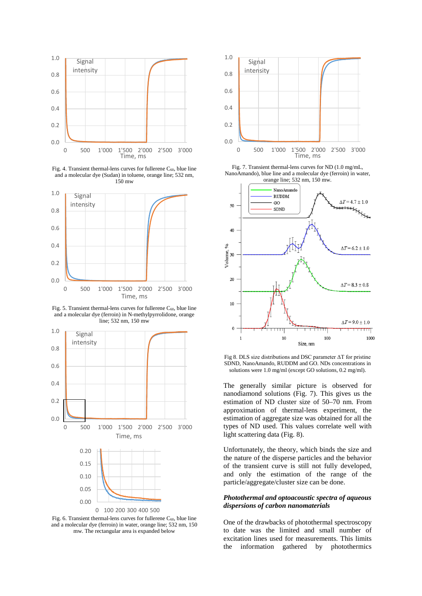

Fig. 4. Transient thermal-lens curves for fullerene  $C_{60}$ , blue line and a molecular dye (Sudan) in toluene, orange line; 532 nm, 150 mw



Fig. 5. Transient thermal-lens curves for fullerene  $C_{60}$ , blue line and a molecular dye (ferroin) in N-methylpyrrolidone, orange line; 532 nm, 150 mw



Fig. 6. Transient thermal-lens curves for fullerene  $C_{60}$ , blue line and a molecular dye (ferroin) in water, orange line; 532 nm, 150 mw. The rectangular area is expanded below



Fig. 7. Transient thermal-lens curves for ND (1.0 mg/mL, NanoAmando), blue line and a molecular dye (ferroin) in water,



Fig 8. DLS size distributions and DSC parameter ΔT for pristine SDND, NanoAmando, RUDDM and GO. NDs concentrations in solutions were 1.0 mg/ml (except GO solutions, 0.2 mg/ml).

The generally similar picture is observed for nanodiamond solutions (Fig. 7). This gives us the estimation of ND cluster size of 50–70 nm. From approximation of thermal-lens experiment, the estimation of aggregate size was obtained for all the types of ND used. This values correlate well with light scattering data (Fig. 8).

Unfortunately, the theory, which binds the size and the nature of the disperse particles and the behavior of the transient curve is still not fully developed, and only the estimation of the range of the particle/aggregate/cluster size can be done.

#### *Photothermal and optoacoustic spectra of aqueous dispersions of carbon nanomaterials*

One of the drawbacks of photothermal spectroscopy to date was the limited and small number of excitation lines used for measurements. This limits the information gathered by photothermics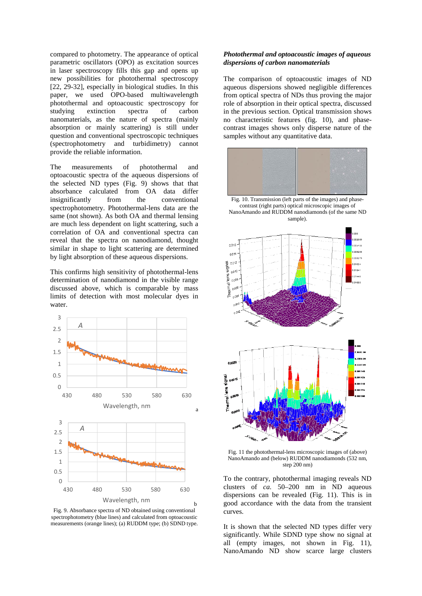compared to photometry. The appearance of optical parametric oscillators (OPO) as excitation sources in laser spectroscopy fills this gap and opens up new possibilities for photothermal spectroscopy [\[22,](#page-8-4) [29-32\]](#page-8-11), especially in biological studies. In this paper, we used OPO-based multiwavelength photothermal and optoacoustic spectroscopy for studying extinction spectra of carbon nanomaterials, as the nature of spectra (mainly absorption or mainly scattering) is still under question and conventional spectroscopic techniques (spectrophotometry and turbidimetry) cannot provide the reliable information.

The measurements of photothermal and optoacoustic spectra of the aqueous dispersions of the selected ND types (Fig. 9) shows that that absorbance calculated from OA data differ insignificantly from the conventional spectrophotometry. Photothermal-lens data are the same (not shown). As both OA and thermal lensing are much less dependent on light scattering, such a correlation of OA and conventional spectra can reveal that the spectra on nanodiamond, thought similar in shape to light scattering are determined by light absorption of these aqueous dispersions.

This confirms high sensitivity of photothermal-lens determination of nanodiamond in the visible range discussed above, which is comparable by mass limits of detection with most molecular dyes in water.



Fig. 9. Absorbance spectra of ND obtained using conventional spectrophotometry (blue lines) and calculated from optoacoustic measurements (orange lines); (a) RUDDM type; (b) SDND type.

## *Photothermal and optoacoustic images of aqueous dispersions of carbon nanomaterials*

The comparison of optoacoustic images of ND aqueous dispersions showed negligible differences from optical spectra of NDs thus proving the major role of absorption in their optical spectra, discussed in the previous section. Optical transmission shows no characteristic features (fig. 10), and phasecontrast images shows only disperse nature of the samples without any quantitative data.



Fig. 10. Transmission (left parts of the images) and phasecontrast (right parts) optical microscopic images of NanoAmando and RUDDM nanodiamonds (of the same ND sample).



Fig. 11 the photothermal-lens microscopic images of (above) NanoAmando and (below) RUDDM nanodiamonds (532 nm, step 200 nm)

To the contrary, photothermal imaging reveals ND clusters of *ca.* 50–200 nm in ND aqueous dispersions can be revealed (Fig. 11). This is in good accordance with the data from the transient curves.

It is shown that the selected ND types differ very significantly. While SDND type show no signal at all (empty images, not shown in Fig. 11), NanoAmando ND show scarce large clusters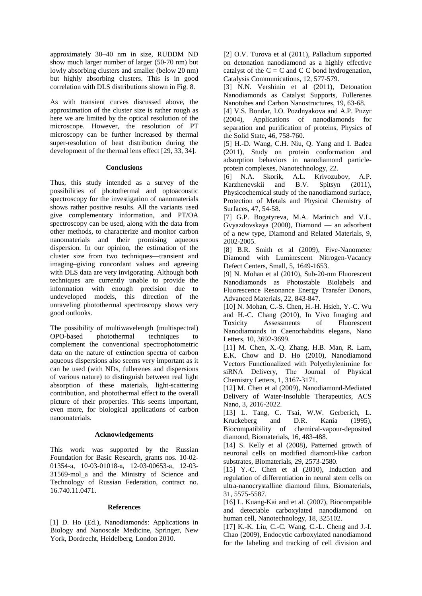approximately 30–40 nm in size, RUDDM ND show much larger number of larger (50-70 nm) but lowly absorbing clusters and smaller (below 20 nm) but highly absorbing clusters. This is in good correlation with DLS distributions shown in Fig. 8.

As with transient curves discussed above, the approximation of the cluster size is rather rough as here we are limited by the optical resolution of the microscope. However, the resolution of PT microscopy can be further increased by thermal super-resolution of heat distribution during the development of the thermal lens effect [\[29,](#page-8-11) [33,](#page-8-12) [34\]](#page-8-13).

## **Conclusions**

Thus, this study intended as a survey of the possibilities of photothermal and optoacoustic spectroscopy for the investigation of nanomaterials shows rather positive results. All the variants used give complementary information, and PT/OA spectroscopy can be used, along with the data from other methods, to characterize and monitor carbon nanomaterials and their promising aqueous dispersion. In our opinion, the estimation of the cluster size from two techniques—transient and imaging–giving concordant values and agreeing with DLS data are very invigorating. Although both techniques are currently unable to provide the information with enough precision due to undeveloped models, this direction of the unraveling photothermal spectroscopy shows very good outlooks.

The possibility of multiwavelength (multispectral) OPO-based photothermal techniques to complement the conventional spectrophotometric data on the nature of extinction spectra of carbon aqueous dispersions also seems very important as it can be used (with NDs, fullerenes and dispersions of various nature) to distinguish between real light absorption of these materials, light-scattering contribution, and photothermal effect to the overall picture of their properties. This seems important, even more, for biological applications of carbon nanomaterials.

## **Acknowledgements**

This work was supported by the Russian Foundation for Basic Research, grants nos. 10-02- 01354-а, 10-03-01018-а, 12-03-00653-а, 12-03- 31569-mol\_a and the Ministry of Science and Technology of Russian Federation, contract no. 16.740.11.0471.

## **References**

<span id="page-7-0"></span>[1] D. Ho (Ed.), Nanodiamonds: Applications in Biology and Nanoscale Medicine, Springer, New York, Dordrecht, Heidelberg, London 2010.

<span id="page-7-1"></span>[2] O.V. Turova et al (2011), Palladium supported on detonation nanodiamond as a highly effective catalyst of the  $C = C$  and  $C C$  bond hydrogenation, Catalysis Communications, 12, 577-579.

<span id="page-7-2"></span>[3] N.N. Vershinin et al (2011), Detonation Nanodiamonds as Catalyst Supports, Fullerenes Nanotubes and Carbon Nanostructures, 19, 63-68.

<span id="page-7-3"></span>[4] V.S. Bondar, I.O. Pozdnyakova and A.P. Puzyr (2004), Applications of nanodiamonds for separation and purification of proteins, Physics of the Solid State, 46, 758-760.

[5] H.-D. Wang, C.H. Niu, Q. Yang and I. Badea (2011), Study on protein conformation and adsorption behaviors in nanodiamond particleprotein complexes, Nanotechnology, 22.

[6] N.A. Skorik, A.L. Krivozubov, A.P. Karzhenevskii and B.V. Spitsyn (2011), Physicochemical study of the nanodiamond surface, Protection of Metals and Physical Chemistry of Surfaces, 47, 54-58.

[7] G.P. Bogatyreva, M.A. Marinich and V.L. Gvyazdovskaya (2000), Diamond — an adsorbent of a new type, Diamond and Related Materials, 9, 2002-2005.

<span id="page-7-4"></span>[8] B.R. Smith et al (2009), Five-Nanometer Diamond with Luminescent Nitrogen-Vacancy Defect Centers, Small, 5, 1649-1653.

[9] N. Mohan et al (2010), Sub-20-nm Fluorescent Nanodiamonds as Photostable Biolabels and Fluorescence Resonance Energy Transfer Donors, Advanced Materials, 22, 843-847.

[10] N. Mohan, C.-S. Chen, H.-H. Hsieh, Y.-C. Wu and H.-C. Chang (2010), In Vivo Imaging and Toxicity Assessments of Fluorescent Nanodiamonds in Caenorhabditis elegans, Nano Letters, 10, 3692-3699.

<span id="page-7-5"></span>[11] M. Chen, X.-O. Zhang, H.B. Man, R. Lam, E.K. Chow and D. Ho (2010), Nanodiamond Vectors Functionalized with Polyethylenimine for siRNA Delivery, The Journal of Physical Chemistry Letters, 1, 3167-3171.

<span id="page-7-6"></span>[12] M. Chen et al (2009), Nanodiamond-Mediated Delivery of Water-Insoluble Therapeutics, ACS Nano, 3, 2016-2022.

<span id="page-7-7"></span>[13] L. Tang, C. Tsai, W.W. Gerberich, L. Kruckeberg and D.R. Kania (1995), Biocompatibility of chemical-vapour-deposited diamond, Biomaterials, 16, 483-488.

<span id="page-7-8"></span>[14] S. Kelly et al (2008), Patterned growth of neuronal cells on modified diamond-like carbon substrates, Biomaterials, 29, 2573-2580.

<span id="page-7-9"></span>[15] Y.-C. Chen et al (2010), Induction and regulation of differentiation in neural stem cells on ultra-nanocrystalline diamond films, Biomaterials, 31, 5575-5587.

<span id="page-7-10"></span>[16] L. Kuang-Kai and et al. (2007), Biocompatible and detectable carboxylated nanodiamond on human cell, Nanotechnology, 18, 325102.

<span id="page-7-11"></span>[17] K.-K. Liu, C.-C. Wang, C.-L. Cheng and J.-I. Chao (2009), Endocytic carboxylated nanodiamond for the labeling and tracking of cell division and